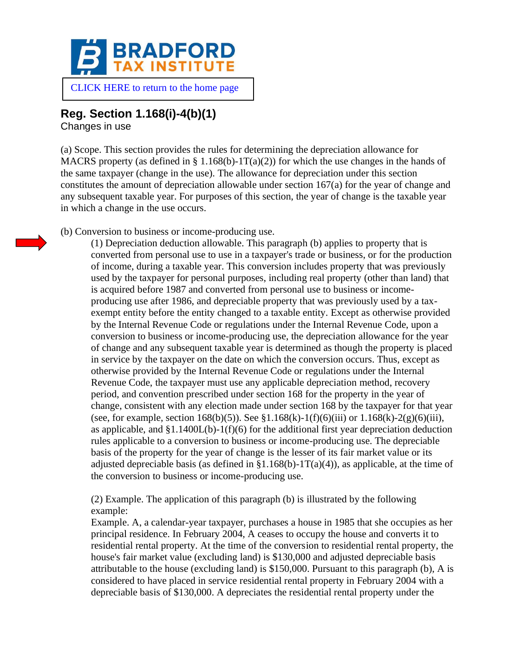

## **Reg. Section 1.168(i)-4(b)(1)**

Changes in use

(a) Scope. This section provides the rules for determining the depreciation allowance for MACRS property (as defined in § 1.168(b)-1T(a)(2)) for which the use changes in the hands of the same taxpayer (change in the use). The allowance for depreciation under this section constitutes the amount of depreciation allowable under section 167(a) for the year of change and any subsequent taxable year. For purposes of this section, the year of change is the taxable year in which a change in the use occurs.

(b) Conversion to business or income-producing use.

(1) Depreciation deduction allowable. This paragraph (b) applies to property that is converted from personal use to use in a taxpayer's trade or business, or for the production of income, during a taxable year. This conversion includes property that was previously used by the taxpayer for personal purposes, including real property (other than land) that is acquired before 1987 and converted from personal use to business or incomeproducing use after 1986, and depreciable property that was previously used by a taxexempt entity before the entity changed to a taxable entity. Except as otherwise provided by the Internal Revenue Code or regulations under the Internal Revenue Code, upon a conversion to business or income-producing use, the depreciation allowance for the year of change and any subsequent taxable year is determined as though the property is placed in service by the taxpayer on the date on which the conversion occurs. Thus, except as otherwise provided by the Internal Revenue Code or regulations under the Internal Revenue Code, the taxpayer must use any applicable depreciation method, recovery period, and convention prescribed under section 168 for the property in the year of change, consistent with any election made under section 168 by the taxpayer for that year (see, for example, section 168(b)(5)). See §1.168(k)-1(f)(6)(iii) or 1.168(k)-2(g)(6)(iii), as applicable, and  $$1.1400L(b)-1(f)(6)$  for the additional first year depreciation deduction rules applicable to a conversion to business or income-producing use. The depreciable basis of the property for the year of change is the lesser of its fair market value or its adjusted depreciable basis (as defined in §1.168(b)-1T(a)(4)), as applicable, at the time of the conversion to business or income-producing use.

(2) Example. The application of this paragraph (b) is illustrated by the following example:

Example. A, a calendar-year taxpayer, purchases a house in 1985 that she occupies as her principal residence. In February 2004, A ceases to occupy the house and converts it to residential rental property. At the time of the conversion to residential rental property, the house's fair market value (excluding land) is \$130,000 and adjusted depreciable basis attributable to the house (excluding land) is \$150,000. Pursuant to this paragraph (b), A is considered to have placed in service residential rental property in February 2004 with a depreciable basis of \$130,000. A depreciates the residential rental property under the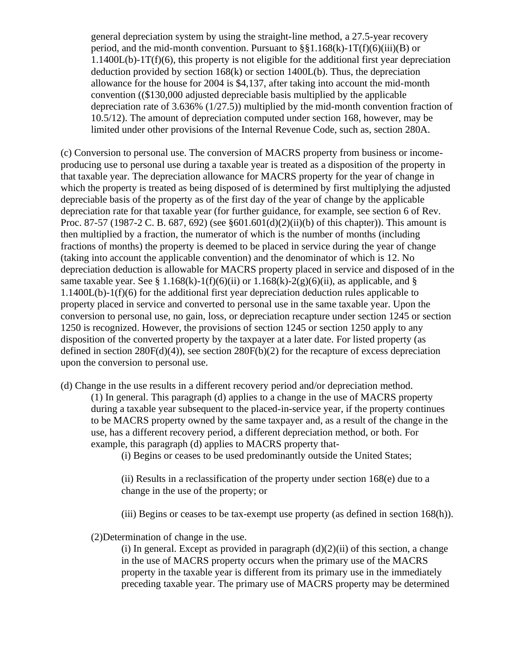general depreciation system by using the straight-line method, a 27.5-year recovery period, and the mid-month convention. Pursuant to  $\S$ §1.168(k)-1T(f)(6)(iii)(B) or  $1.1400L(b)-1T(f)(6)$ , this property is not eligible for the additional first year depreciation deduction provided by section  $168(k)$  or section  $1400L(b)$ . Thus, the depreciation allowance for the house for 2004 is \$4,137, after taking into account the mid-month convention ((\$130,000 adjusted depreciable basis multiplied by the applicable depreciation rate of 3.636% (1/27.5)) multiplied by the mid-month convention fraction of 10.5/12). The amount of depreciation computed under section 168, however, may be limited under other provisions of the Internal Revenue Code, such as, section 280A.

(c) Conversion to personal use. The conversion of MACRS property from business or incomeproducing use to personal use during a taxable year is treated as a disposition of the property in that taxable year. The depreciation allowance for MACRS property for the year of change in which the property is treated as being disposed of is determined by first multiplying the adjusted depreciable basis of the property as of the first day of the year of change by the applicable depreciation rate for that taxable year (for further guidance, for example, see section 6 of Rev. Proc. 87-57 (1987-2 C. B. 687, 692) (see §601.601(d)(2)(ii)(b) of this chapter)). This amount is then multiplied by a fraction, the numerator of which is the number of months (including fractions of months) the property is deemed to be placed in service during the year of change (taking into account the applicable convention) and the denominator of which is 12. No depreciation deduction is allowable for MACRS property placed in service and disposed of in the same taxable year. See § 1.168(k)-1(f)(6)(ii) or 1.168(k)-2(g)(6)(ii), as applicable, and § 1.1400L(b)-1(f)(6) for the additional first year depreciation deduction rules applicable to property placed in service and converted to personal use in the same taxable year. Upon the conversion to personal use, no gain, loss, or depreciation recapture under section 1245 or section 1250 is recognized. However, the provisions of section 1245 or section 1250 apply to any disposition of the converted property by the taxpayer at a later date. For listed property (as defined in section  $280F(d)(4)$ , see section  $280F(b)(2)$  for the recapture of excess depreciation upon the conversion to personal use.

(d) Change in the use results in a different recovery period and/or depreciation method.

(1) In general. This paragraph (d) applies to a change in the use of MACRS property during a taxable year subsequent to the placed-in-service year, if the property continues to be MACRS property owned by the same taxpayer and, as a result of the change in the use, has a different recovery period, a different depreciation method, or both. For example, this paragraph (d) applies to MACRS property that-

(i) Begins or ceases to be used predominantly outside the United States;

(ii) Results in a reclassification of the property under section 168(e) due to a change in the use of the property; or

(iii) Begins or ceases to be tax-exempt use property (as defined in section 168(h)).

(2)Determination of change in the use.

(i) In general. Except as provided in paragraph  $(d)(2)(ii)$  of this section, a change in the use of MACRS property occurs when the primary use of the MACRS property in the taxable year is different from its primary use in the immediately preceding taxable year. The primary use of MACRS property may be determined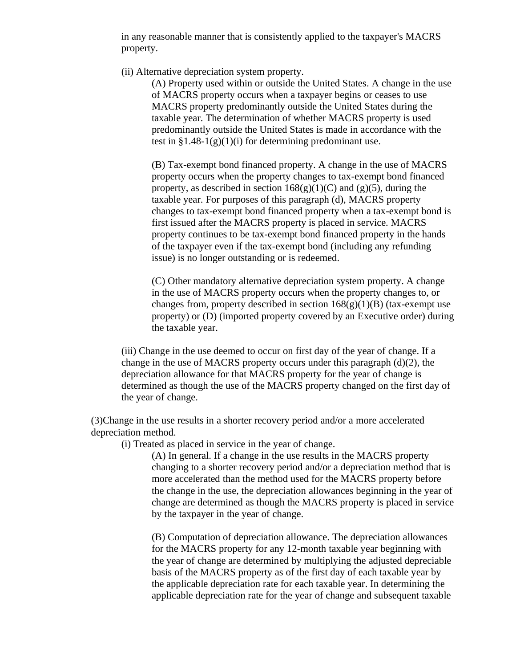in any reasonable manner that is consistently applied to the taxpayer's MACRS property.

(ii) Alternative depreciation system property.

(A) Property used within or outside the United States. A change in the use of MACRS property occurs when a taxpayer begins or ceases to use MACRS property predominantly outside the United States during the taxable year. The determination of whether MACRS property is used predominantly outside the United States is made in accordance with the test in  $\S 1.48-1(g)(1)(i)$  for determining predominant use.

(B) Tax-exempt bond financed property. A change in the use of MACRS property occurs when the property changes to tax-exempt bond financed property, as described in section  $168(g)(1)(C)$  and  $(g)(5)$ , during the taxable year. For purposes of this paragraph (d), MACRS property changes to tax-exempt bond financed property when a tax-exempt bond is first issued after the MACRS property is placed in service. MACRS property continues to be tax-exempt bond financed property in the hands of the taxpayer even if the tax-exempt bond (including any refunding issue) is no longer outstanding or is redeemed.

(C) Other mandatory alternative depreciation system property. A change in the use of MACRS property occurs when the property changes to, or changes from, property described in section  $168(g)(1)(B)$  (tax-exempt use property) or (D) (imported property covered by an Executive order) during the taxable year.

(iii) Change in the use deemed to occur on first day of the year of change. If a change in the use of MACRS property occurs under this paragraph (d)(2), the depreciation allowance for that MACRS property for the year of change is determined as though the use of the MACRS property changed on the first day of the year of change.

(3)Change in the use results in a shorter recovery period and/or a more accelerated depreciation method.

(i) Treated as placed in service in the year of change.

(A) In general. If a change in the use results in the MACRS property changing to a shorter recovery period and/or a depreciation method that is more accelerated than the method used for the MACRS property before the change in the use, the depreciation allowances beginning in the year of change are determined as though the MACRS property is placed in service by the taxpayer in the year of change.

(B) Computation of depreciation allowance. The depreciation allowances for the MACRS property for any 12-month taxable year beginning with the year of change are determined by multiplying the adjusted depreciable basis of the MACRS property as of the first day of each taxable year by the applicable depreciation rate for each taxable year. In determining the applicable depreciation rate for the year of change and subsequent taxable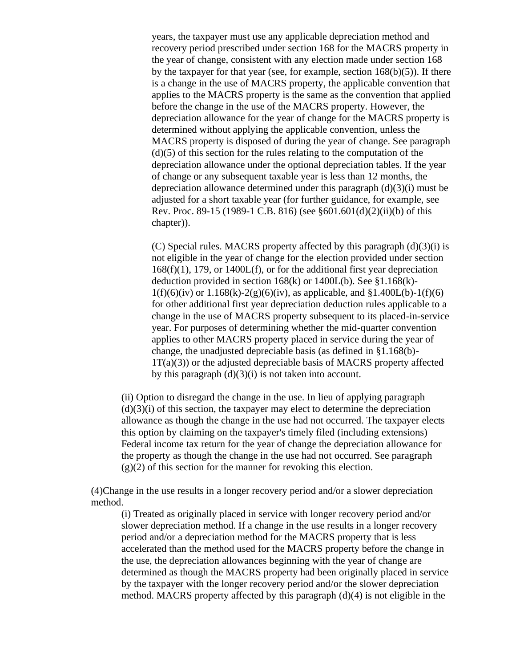years, the taxpayer must use any applicable depreciation method and recovery period prescribed under section 168 for the MACRS property in the year of change, consistent with any election made under section 168 by the taxpayer for that year (see, for example, section  $168(b)(5)$ ). If there is a change in the use of MACRS property, the applicable convention that applies to the MACRS property is the same as the convention that applied before the change in the use of the MACRS property. However, the depreciation allowance for the year of change for the MACRS property is determined without applying the applicable convention, unless the MACRS property is disposed of during the year of change. See paragraph  $(d)(5)$  of this section for the rules relating to the computation of the depreciation allowance under the optional depreciation tables. If the year of change or any subsequent taxable year is less than 12 months, the depreciation allowance determined under this paragraph (d)(3)(i) must be adjusted for a short taxable year (for further guidance, for example, see Rev. Proc. 89-15 (1989-1 C.B. 816) (see §601.601(d)(2)(ii)(b) of this chapter)).

(C) Special rules. MACRS property affected by this paragraph  $(d)(3)(i)$  is not eligible in the year of change for the election provided under section  $168(f)(1)$ , 179, or  $1400L(f)$ , or for the additional first year depreciation deduction provided in section 168(k) or 1400L(b). See §1.168(k)-  $1(f)(6)(iv)$  or  $1.168(k)-2(g)(6)(iv)$ , as applicable, and  $$1.400L(b)-1(f)(6)$ for other additional first year depreciation deduction rules applicable to a change in the use of MACRS property subsequent to its placed-in-service year. For purposes of determining whether the mid-quarter convention applies to other MACRS property placed in service during the year of change, the unadjusted depreciable basis (as defined in §1.168(b)-  $1T(a)(3)$ ) or the adjusted depreciable basis of MACRS property affected by this paragraph  $(d)(3)(i)$  is not taken into account.

(ii) Option to disregard the change in the use. In lieu of applying paragraph  $(d)(3)(i)$  of this section, the taxpayer may elect to determine the depreciation allowance as though the change in the use had not occurred. The taxpayer elects this option by claiming on the taxpayer's timely filed (including extensions) Federal income tax return for the year of change the depreciation allowance for the property as though the change in the use had not occurred. See paragraph  $(g)(2)$  of this section for the manner for revoking this election.

(4)Change in the use results in a longer recovery period and/or a slower depreciation method.

(i) Treated as originally placed in service with longer recovery period and/or slower depreciation method. If a change in the use results in a longer recovery period and/or a depreciation method for the MACRS property that is less accelerated than the method used for the MACRS property before the change in the use, the depreciation allowances beginning with the year of change are determined as though the MACRS property had been originally placed in service by the taxpayer with the longer recovery period and/or the slower depreciation method. MACRS property affected by this paragraph (d)(4) is not eligible in the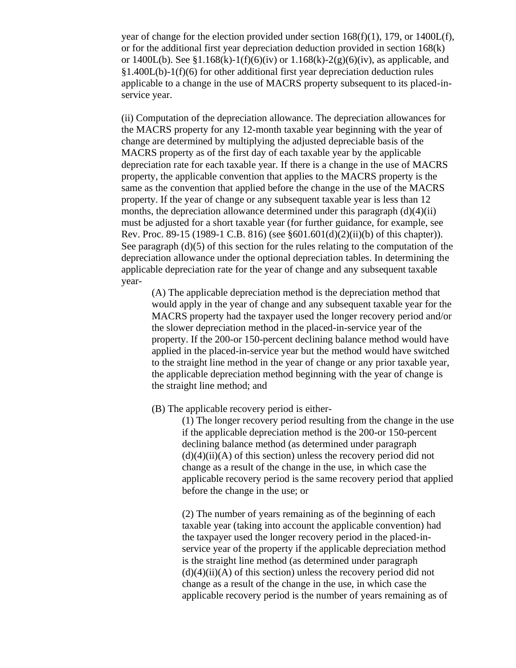year of change for the election provided under section 168(f)(1), 179, or 1400L(f), or for the additional first year depreciation deduction provided in section 168(k) or  $1400L(b)$ . See §1.168(k)-1(f)(6)(iv) or  $1.168(k)$ -2(g)(6)(iv), as applicable, and §1.400L(b)-1(f)(6) for other additional first year depreciation deduction rules applicable to a change in the use of MACRS property subsequent to its placed-inservice year.

(ii) Computation of the depreciation allowance. The depreciation allowances for the MACRS property for any 12-month taxable year beginning with the year of change are determined by multiplying the adjusted depreciable basis of the MACRS property as of the first day of each taxable year by the applicable depreciation rate for each taxable year. If there is a change in the use of MACRS property, the applicable convention that applies to the MACRS property is the same as the convention that applied before the change in the use of the MACRS property. If the year of change or any subsequent taxable year is less than 12 months, the depreciation allowance determined under this paragraph  $(d)(4)(ii)$ must be adjusted for a short taxable year (for further guidance, for example, see Rev. Proc. 89-15 (1989-1 C.B. 816) (see §601.601(d)(2)(ii)(b) of this chapter)). See paragraph (d)(5) of this section for the rules relating to the computation of the depreciation allowance under the optional depreciation tables. In determining the applicable depreciation rate for the year of change and any subsequent taxable year-

(A) The applicable depreciation method is the depreciation method that would apply in the year of change and any subsequent taxable year for the MACRS property had the taxpayer used the longer recovery period and/or the slower depreciation method in the placed-in-service year of the property. If the 200-or 150-percent declining balance method would have applied in the placed-in-service year but the method would have switched to the straight line method in the year of change or any prior taxable year, the applicable depreciation method beginning with the year of change is the straight line method; and

(B) The applicable recovery period is either-

(1) The longer recovery period resulting from the change in the use if the applicable depreciation method is the 200-or 150-percent declining balance method (as determined under paragraph  $(d)(4)(ii)(A)$  of this section) unless the recovery period did not change as a result of the change in the use, in which case the applicable recovery period is the same recovery period that applied before the change in the use; or

(2) The number of years remaining as of the beginning of each taxable year (taking into account the applicable convention) had the taxpayer used the longer recovery period in the placed-inservice year of the property if the applicable depreciation method is the straight line method (as determined under paragraph  $(d)(4)(ii)(A)$  of this section) unless the recovery period did not change as a result of the change in the use, in which case the applicable recovery period is the number of years remaining as of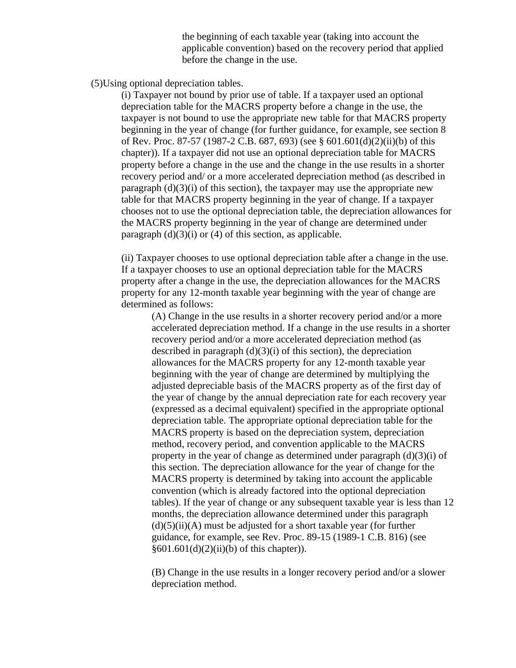the beginning of each taxable year (taking into account the applicable convention) based on the recovery period that applied before the change in the use.

(5)Using optional depreciation tables.

(i) Taxpayer not bound by prior use of table. If a taxpayer used an optional depreciation table for the MACRS property before a change in the use, the taxpayer is not bound to use the appropriate new table for that MACRS property beginning in the year of change (for further guidance, for example, see section 8 of Rev. Proc. 87-57 (1987-2 C.B. 687, 693) (see § 601.601(d)(2)(ii)(b) of this chapter)). If a taxpayer did not use an optional depreciation table for MACRS property before a change in the use and the change in the use results in a shorter recovery period and/ or a more accelerated depreciation method (as described in paragraph  $(d)(3)(i)$  of this section), the taxpayer may use the appropriate new table for that MACRS property beginning in the year of change. If a taxpayer chooses not to use the optional depreciation table, the depreciation allowances for the MACRS property beginning in the year of change are determined under paragraph  $(d)(3)(i)$  or  $(4)$  of this section, as applicable.

(ii) Taxpayer chooses to use optional depreciation table after a change in the use. If a taxpayer chooses to use an optional depreciation table for the MACRS property after a change in the use, the depreciation allowances for the MACRS property for any 12-month taxable year beginning with the year of change are determined as follows:

(A) Change in the use results in a shorter recovery period and/or a more accelerated depreciation method. If a change in the use results in a shorter recovery period and/or a more accelerated depreciation method (as described in paragraph  $(d)(3)(i)$  of this section), the depreciation allowances for the MACRS property for any 12-month taxable year beginning with the year of change are determined by multiplying the adjusted depreciable basis of the MACRS property as of the first day of the year of change by the annual depreciation rate for each recovery year (expressed as a decimal equivalent) specified in the appropriate optional depreciation table. The appropriate optional depreciation table for the MACRS property is based on the depreciation system, depreciation method, recovery period, and convention applicable to the MACRS property in the year of change as determined under paragraph (d)(3)(i) of this section. The depreciation allowance for the year of change for the MACRS property is determined by taking into account the applicable convention (which is already factored into the optional depreciation tables). If the year of change or any subsequent taxable year is less than 12 months, the depreciation allowance determined under this paragraph  $(d)(5)(ii)(A)$  must be adjusted for a short taxable year (for further guidance, for example, see Rev. Proc. 89-15 (1989-1 C.B. 816) (see  $§601.601(d)(2)(ii)(b)$  of this chapter)).

(B) Change in the use results in a longer recovery period and/or a slower depreciation method.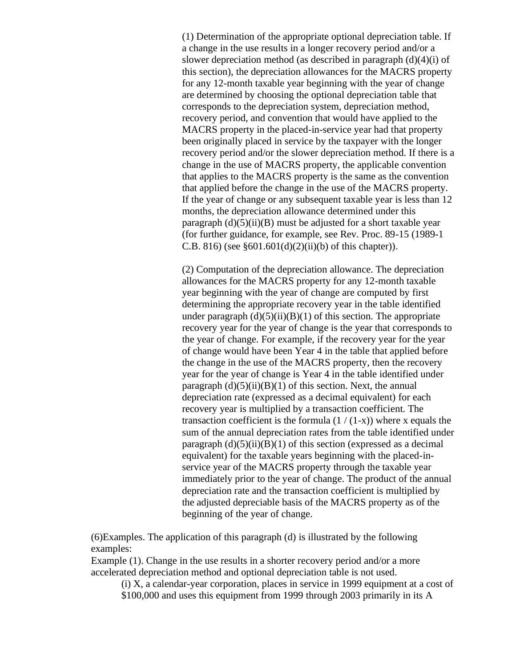(1) Determination of the appropriate optional depreciation table. If a change in the use results in a longer recovery period and/or a slower depreciation method (as described in paragraph  $(d)(4)(i)$  of this section), the depreciation allowances for the MACRS property for any 12-month taxable year beginning with the year of change are determined by choosing the optional depreciation table that corresponds to the depreciation system, depreciation method, recovery period, and convention that would have applied to the MACRS property in the placed-in-service year had that property been originally placed in service by the taxpayer with the longer recovery period and/or the slower depreciation method. If there is a change in the use of MACRS property, the applicable convention that applies to the MACRS property is the same as the convention that applied before the change in the use of the MACRS property. If the year of change or any subsequent taxable year is less than 12 months, the depreciation allowance determined under this paragraph  $(d)(5)(ii)(B)$  must be adjusted for a short taxable year (for further guidance, for example, see Rev. Proc. 89-15 (1989-1 C.B. 816) (see  $§601.601(d)(2)(ii)(b)$  of this chapter)).

(2) Computation of the depreciation allowance. The depreciation allowances for the MACRS property for any 12-month taxable year beginning with the year of change are computed by first determining the appropriate recovery year in the table identified under paragraph  $(d)(5)(ii)(B)(1)$  of this section. The appropriate recovery year for the year of change is the year that corresponds to the year of change. For example, if the recovery year for the year of change would have been Year 4 in the table that applied before the change in the use of the MACRS property, then the recovery year for the year of change is Year 4 in the table identified under paragraph  $(d)(5)(ii)(B)(1)$  of this section. Next, the annual depreciation rate (expressed as a decimal equivalent) for each recovery year is multiplied by a transaction coefficient. The transaction coefficient is the formula  $(1/(1-x))$  where x equals the sum of the annual depreciation rates from the table identified under paragraph  $(d)(5)(ii)(B)(1)$  of this section (expressed as a decimal equivalent) for the taxable years beginning with the placed-inservice year of the MACRS property through the taxable year immediately prior to the year of change. The product of the annual depreciation rate and the transaction coefficient is multiplied by the adjusted depreciable basis of the MACRS property as of the beginning of the year of change.

(6)Examples. The application of this paragraph (d) is illustrated by the following examples:

Example (1). Change in the use results in a shorter recovery period and/or a more accelerated depreciation method and optional depreciation table is not used.

(i) X, a calendar-year corporation, places in service in 1999 equipment at a cost of \$100,000 and uses this equipment from 1999 through 2003 primarily in its A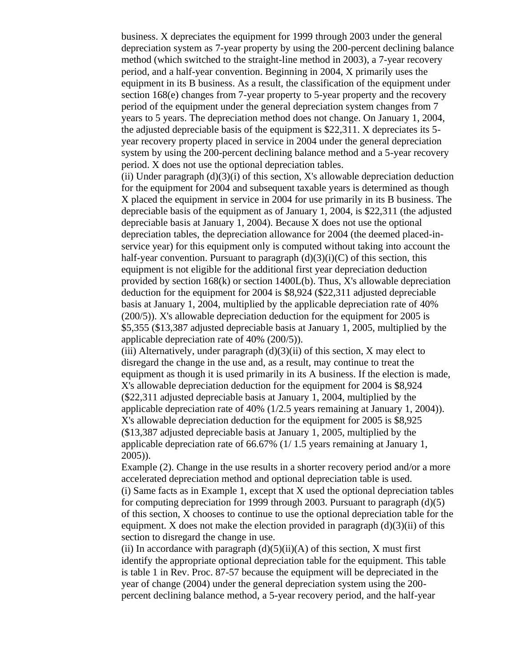business. X depreciates the equipment for 1999 through 2003 under the general depreciation system as 7-year property by using the 200-percent declining balance method (which switched to the straight-line method in 2003), a 7-year recovery period, and a half-year convention. Beginning in 2004, X primarily uses the equipment in its B business. As a result, the classification of the equipment under section 168(e) changes from 7-year property to 5-year property and the recovery period of the equipment under the general depreciation system changes from 7 years to 5 years. The depreciation method does not change. On January 1, 2004, the adjusted depreciable basis of the equipment is \$22,311. X depreciates its 5 year recovery property placed in service in 2004 under the general depreciation system by using the 200-percent declining balance method and a 5-year recovery period. X does not use the optional depreciation tables.

(ii) Under paragraph  $(d)(3)(i)$  of this section, X's allowable depreciation deduction for the equipment for 2004 and subsequent taxable years is determined as though X placed the equipment in service in 2004 for use primarily in its B business. The depreciable basis of the equipment as of January 1, 2004, is \$22,311 (the adjusted depreciable basis at January 1, 2004). Because X does not use the optional depreciation tables, the depreciation allowance for 2004 (the deemed placed-inservice year) for this equipment only is computed without taking into account the half-year convention. Pursuant to paragraph  $(d)(3)(i)(C)$  of this section, this equipment is not eligible for the additional first year depreciation deduction provided by section 168(k) or section 1400L(b). Thus, X's allowable depreciation deduction for the equipment for 2004 is \$8,924 (\$22,311 adjusted depreciable basis at January 1, 2004, multiplied by the applicable depreciation rate of 40% (200/5)). X's allowable depreciation deduction for the equipment for 2005 is \$5,355 (\$13,387 adjusted depreciable basis at January 1, 2005, multiplied by the applicable depreciation rate of 40% (200/5)).

(iii) Alternatively, under paragraph  $(d)(3)(ii)$  of this section, X may elect to disregard the change in the use and, as a result, may continue to treat the equipment as though it is used primarily in its A business. If the election is made, X's allowable depreciation deduction for the equipment for 2004 is \$8,924 (\$22,311 adjusted depreciable basis at January 1, 2004, multiplied by the applicable depreciation rate of 40% (1/2.5 years remaining at January 1, 2004)). X's allowable depreciation deduction for the equipment for 2005 is \$8,925 (\$13,387 adjusted depreciable basis at January 1, 2005, multiplied by the applicable depreciation rate of 66.67% (1/ 1.5 years remaining at January 1, 2005)).

Example (2). Change in the use results in a shorter recovery period and/or a more accelerated depreciation method and optional depreciation table is used. (i) Same facts as in Example 1, except that X used the optional depreciation tables for computing depreciation for 1999 through 2003. Pursuant to paragraph  $(d)(5)$ of this section, X chooses to continue to use the optional depreciation table for the equipment. X does not make the election provided in paragraph  $(d)(3)(ii)$  of this section to disregard the change in use.

(ii) In accordance with paragraph  $(d)(5)(ii)(A)$  of this section, X must first identify the appropriate optional depreciation table for the equipment. This table is table 1 in Rev. Proc. 87-57 because the equipment will be depreciated in the year of change (2004) under the general depreciation system using the 200 percent declining balance method, a 5-year recovery period, and the half-year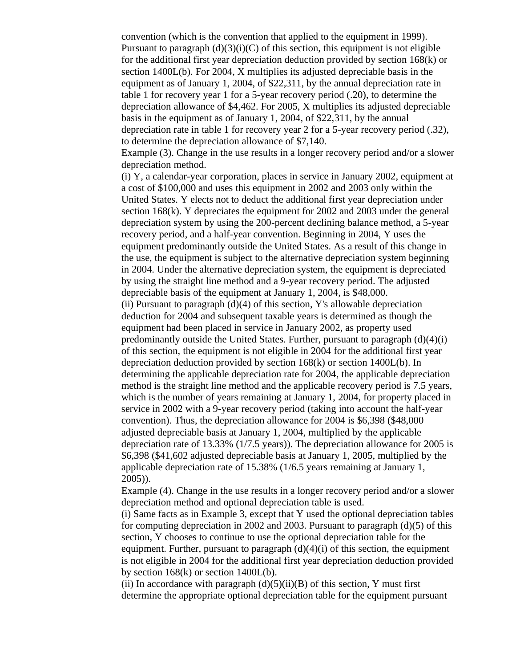convention (which is the convention that applied to the equipment in 1999). Pursuant to paragraph  $(d)(3)(i)(C)$  of this section, this equipment is not eligible for the additional first year depreciation deduction provided by section 168(k) or section 1400L(b). For 2004, X multiplies its adjusted depreciable basis in the equipment as of January 1, 2004, of \$22,311, by the annual depreciation rate in table 1 for recovery year 1 for a 5-year recovery period (.20), to determine the depreciation allowance of \$4,462. For 2005, X multiplies its adjusted depreciable basis in the equipment as of January 1, 2004, of \$22,311, by the annual depreciation rate in table 1 for recovery year 2 for a 5-year recovery period (.32), to determine the depreciation allowance of \$7,140.

Example (3). Change in the use results in a longer recovery period and/or a slower depreciation method.

(i) Y, a calendar-year corporation, places in service in January 2002, equipment at a cost of \$100,000 and uses this equipment in 2002 and 2003 only within the United States. Y elects not to deduct the additional first year depreciation under section 168(k). Y depreciates the equipment for 2002 and 2003 under the general depreciation system by using the 200-percent declining balance method, a 5-year recovery period, and a half-year convention. Beginning in 2004, Y uses the equipment predominantly outside the United States. As a result of this change in the use, the equipment is subject to the alternative depreciation system beginning in 2004. Under the alternative depreciation system, the equipment is depreciated by using the straight line method and a 9-year recovery period. The adjusted depreciable basis of the equipment at January 1, 2004, is \$48,000. (ii) Pursuant to paragraph  $(d)(4)$  of this section, Y's allowable depreciation deduction for 2004 and subsequent taxable years is determined as though the equipment had been placed in service in January 2002, as property used predominantly outside the United States. Further, pursuant to paragraph (d)(4)(i) of this section, the equipment is not eligible in 2004 for the additional first year depreciation deduction provided by section 168(k) or section 1400L(b). In determining the applicable depreciation rate for 2004, the applicable depreciation method is the straight line method and the applicable recovery period is 7.5 years, which is the number of years remaining at January 1, 2004, for property placed in service in 2002 with a 9-year recovery period (taking into account the half-year convention). Thus, the depreciation allowance for 2004 is \$6,398 (\$48,000 adjusted depreciable basis at January 1, 2004, multiplied by the applicable depreciation rate of 13.33% (1/7.5 years)). The depreciation allowance for 2005 is \$6,398 (\$41,602 adjusted depreciable basis at January 1, 2005, multiplied by the applicable depreciation rate of 15.38% (1/6.5 years remaining at January 1, 2005)).

Example (4). Change in the use results in a longer recovery period and/or a slower depreciation method and optional depreciation table is used.

(i) Same facts as in Example 3, except that Y used the optional depreciation tables for computing depreciation in 2002 and 2003. Pursuant to paragraph  $(d)(5)$  of this section, Y chooses to continue to use the optional depreciation table for the equipment. Further, pursuant to paragraph  $(d)(4)(i)$  of this section, the equipment is not eligible in 2004 for the additional first year depreciation deduction provided by section  $168(k)$  or section  $1400L(b)$ .

(ii) In accordance with paragraph  $(d)(5)(ii)(B)$  of this section, Y must first determine the appropriate optional depreciation table for the equipment pursuant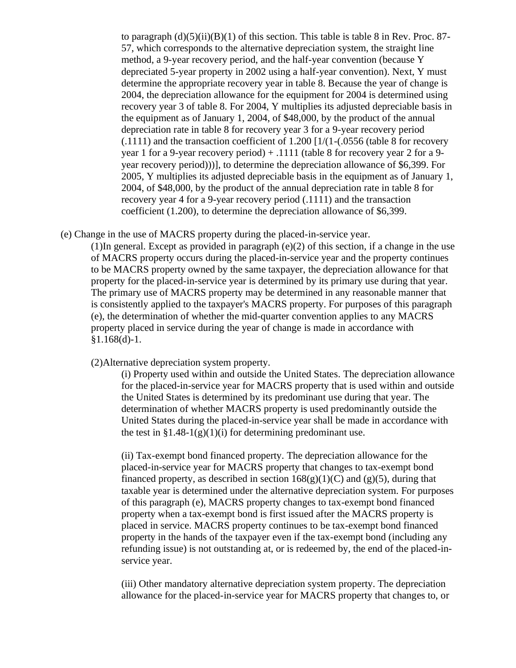to paragraph  $(d)(5)(ii)(B)(1)$  of this section. This table is table 8 in Rev. Proc. 87-57, which corresponds to the alternative depreciation system, the straight line method, a 9-year recovery period, and the half-year convention (because Y depreciated 5-year property in 2002 using a half-year convention). Next, Y must determine the appropriate recovery year in table 8. Because the year of change is 2004, the depreciation allowance for the equipment for 2004 is determined using recovery year 3 of table 8. For 2004, Y multiplies its adjusted depreciable basis in the equipment as of January 1, 2004, of \$48,000, by the product of the annual depreciation rate in table 8 for recovery year 3 for a 9-year recovery period (.1111) and the transaction coefficient of 1.200 [1/(1-(.0556 (table 8 for recovery year 1 for a 9-year recovery period) + .1111 (table 8 for recovery year 2 for a 9 year recovery period)))], to determine the depreciation allowance of \$6,399. For 2005, Y multiplies its adjusted depreciable basis in the equipment as of January 1, 2004, of \$48,000, by the product of the annual depreciation rate in table 8 for recovery year 4 for a 9-year recovery period (.1111) and the transaction coefficient (1.200), to determine the depreciation allowance of \$6,399.

(e) Change in the use of MACRS property during the placed-in-service year.

(1)In general. Except as provided in paragraph (e)(2) of this section, if a change in the use of MACRS property occurs during the placed-in-service year and the property continues to be MACRS property owned by the same taxpayer, the depreciation allowance for that property for the placed-in-service year is determined by its primary use during that year. The primary use of MACRS property may be determined in any reasonable manner that is consistently applied to the taxpayer's MACRS property. For purposes of this paragraph (e), the determination of whether the mid-quarter convention applies to any MACRS property placed in service during the year of change is made in accordance with  $§1.168(d)-1.$ 

(2)Alternative depreciation system property.

(i) Property used within and outside the United States. The depreciation allowance for the placed-in-service year for MACRS property that is used within and outside the United States is determined by its predominant use during that year. The determination of whether MACRS property is used predominantly outside the United States during the placed-in-service year shall be made in accordance with the test in  $\S 1.48-1(g)(1)(i)$  for determining predominant use.

(ii) Tax-exempt bond financed property. The depreciation allowance for the placed-in-service year for MACRS property that changes to tax-exempt bond financed property, as described in section  $168(g)(1)(C)$  and  $(g)(5)$ , during that taxable year is determined under the alternative depreciation system. For purposes of this paragraph (e), MACRS property changes to tax-exempt bond financed property when a tax-exempt bond is first issued after the MACRS property is placed in service. MACRS property continues to be tax-exempt bond financed property in the hands of the taxpayer even if the tax-exempt bond (including any refunding issue) is not outstanding at, or is redeemed by, the end of the placed-inservice year.

(iii) Other mandatory alternative depreciation system property. The depreciation allowance for the placed-in-service year for MACRS property that changes to, or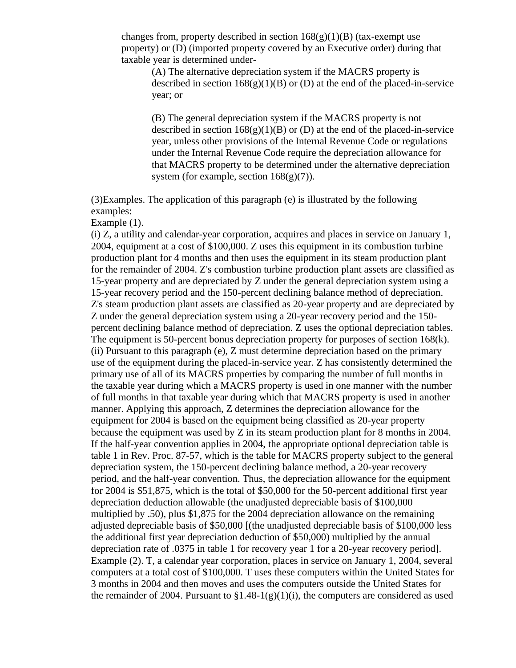changes from, property described in section  $168(g)(1)(B)$  (tax-exempt use property) or (D) (imported property covered by an Executive order) during that taxable year is determined under-

(A) The alternative depreciation system if the MACRS property is described in section  $168(g)(1)(B)$  or (D) at the end of the placed-in-service year; or

(B) The general depreciation system if the MACRS property is not described in section  $168(g)(1)(B)$  or (D) at the end of the placed-in-service year, unless other provisions of the Internal Revenue Code or regulations under the Internal Revenue Code require the depreciation allowance for that MACRS property to be determined under the alternative depreciation system (for example, section  $168(g)(7)$ ).

(3)Examples. The application of this paragraph (e) is illustrated by the following examples:

Example (1).

(i) Z, a utility and calendar-year corporation, acquires and places in service on January 1, 2004, equipment at a cost of \$100,000. Z uses this equipment in its combustion turbine production plant for 4 months and then uses the equipment in its steam production plant for the remainder of 2004. Z's combustion turbine production plant assets are classified as 15-year property and are depreciated by Z under the general depreciation system using a 15-year recovery period and the 150-percent declining balance method of depreciation. Z's steam production plant assets are classified as 20-year property and are depreciated by Z under the general depreciation system using a 20-year recovery period and the 150 percent declining balance method of depreciation. Z uses the optional depreciation tables. The equipment is 50-percent bonus depreciation property for purposes of section 168(k). (ii) Pursuant to this paragraph (e), Z must determine depreciation based on the primary use of the equipment during the placed-in-service year. Z has consistently determined the primary use of all of its MACRS properties by comparing the number of full months in the taxable year during which a MACRS property is used in one manner with the number of full months in that taxable year during which that MACRS property is used in another manner. Applying this approach, Z determines the depreciation allowance for the equipment for 2004 is based on the equipment being classified as 20-year property because the equipment was used by Z in its steam production plant for 8 months in 2004. If the half-year convention applies in 2004, the appropriate optional depreciation table is table 1 in Rev. Proc. 87-57, which is the table for MACRS property subject to the general depreciation system, the 150-percent declining balance method, a 20-year recovery period, and the half-year convention. Thus, the depreciation allowance for the equipment for 2004 is \$51,875, which is the total of \$50,000 for the 50-percent additional first year depreciation deduction allowable (the unadjusted depreciable basis of \$100,000 multiplied by .50), plus \$1,875 for the 2004 depreciation allowance on the remaining adjusted depreciable basis of \$50,000 [(the unadjusted depreciable basis of \$100,000 less the additional first year depreciation deduction of \$50,000) multiplied by the annual depreciation rate of .0375 in table 1 for recovery year 1 for a 20-year recovery period]. Example (2). T, a calendar year corporation, places in service on January 1, 2004, several computers at a total cost of \$100,000. T uses these computers within the United States for 3 months in 2004 and then moves and uses the computers outside the United States for the remainder of 2004. Pursuant to  $\S1.48-1(g)(1)(i)$ , the computers are considered as used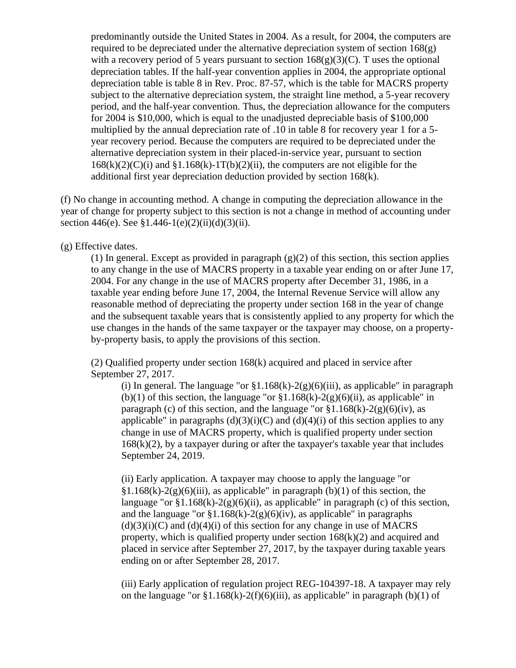predominantly outside the United States in 2004. As a result, for 2004, the computers are required to be depreciated under the alternative depreciation system of section  $168(g)$ with a recovery period of 5 years pursuant to section  $168(g)(3)(C)$ . T uses the optional depreciation tables. If the half-year convention applies in 2004, the appropriate optional depreciation table is table 8 in Rev. Proc. 87-57, which is the table for MACRS property subject to the alternative depreciation system, the straight line method, a 5-year recovery period, and the half-year convention. Thus, the depreciation allowance for the computers for 2004 is \$10,000, which is equal to the unadjusted depreciable basis of \$100,000 multiplied by the annual depreciation rate of .10 in table 8 for recovery year 1 for a 5 year recovery period. Because the computers are required to be depreciated under the alternative depreciation system in their placed-in-service year, pursuant to section  $168(k)(2)(C)(i)$  and  $$1.168(k)-1T(b)(2)(ii)$ , the computers are not eligible for the additional first year depreciation deduction provided by section 168(k).

(f) No change in accounting method. A change in computing the depreciation allowance in the year of change for property subject to this section is not a change in method of accounting under section 446(e). See §1.446-1(e)(2)(ii)(d)(3)(ii).

(g) Effective dates.

(1) In general. Except as provided in paragraph  $(g)(2)$  of this section, this section applies to any change in the use of MACRS property in a taxable year ending on or after June 17, 2004. For any change in the use of MACRS property after December 31, 1986, in a taxable year ending before June 17, 2004, the Internal Revenue Service will allow any reasonable method of depreciating the property under section 168 in the year of change and the subsequent taxable years that is consistently applied to any property for which the use changes in the hands of the same taxpayer or the taxpayer may choose, on a propertyby-property basis, to apply the provisions of this section.

(2) Qualified property under section 168(k) acquired and placed in service after September 27, 2017.

(i) In general. The language "or  $\S1.168(k)-2(g)(6)(iii)$ , as applicable" in paragraph (b)(1) of this section, the language "or  $\S1.168(k)-2(g)(6)(ii)$ , as applicable" in paragraph (c) of this section, and the language "or  $$1.168(k)-2(g)(6)(iv)$ , as applicable" in paragraphs  $(d)(3)(i)(C)$  and  $(d)(4)(i)$  of this section applies to any change in use of MACRS property, which is qualified property under section  $168(k)(2)$ , by a taxpayer during or after the taxpayer's taxable year that includes September 24, 2019.

(ii) Early application. A taxpayer may choose to apply the language "or  $§1.168(k)-2(g)(6)(iii)$ , as applicable" in paragraph (b)(1) of this section, the language "or  $\S1.168(k)-2(g)(6)(ii)$ , as applicable" in paragraph (c) of this section, and the language "or  $\S1.168(k)-2(g)(6)(iv)$ , as applicable" in paragraphs  $(d)(3)(i)(C)$  and  $(d)(4)(i)$  of this section for any change in use of MACRS property, which is qualified property under section  $168(k)(2)$  and acquired and placed in service after September 27, 2017, by the taxpayer during taxable years ending on or after September 28, 2017.

(iii) Early application of regulation project REG-104397-18. A taxpayer may rely on the language "or  $\S1.168(k)-2(f)(6)(iii)$ , as applicable" in paragraph (b)(1) of